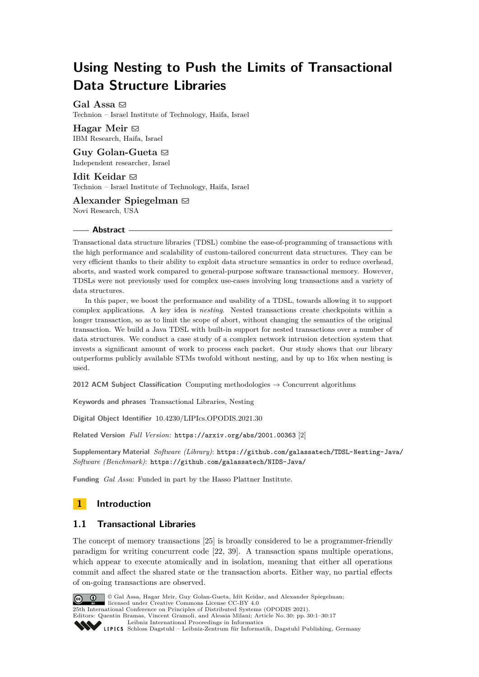# **Using Nesting to Push the Limits of Transactional Data Structure Libraries**

Gal Assa  $\boxtimes$ Technion – Israel Institute of Technology, Haifa, Israel

**Hagar Meir** [!](mailto:hagar.meir@ibm.com) IBM Research, Haifa, Israel

**Guy Golan-Gueta** [!](mailto:guyg.guyg@gmail.com) Independent researcher, Israel

**Idit Keidar** [!](mailto:idish@ee.technion.ac.il) Technion – Israel Institute of Technology, Haifa, Israel

**Alexander Spiegelman** [!](mailto:sasha.spiegelman@gmail.com) Novi Research, USA

# **Abstract**

Transactional data structure libraries (TDSL) combine the ease-of-programming of transactions with the high performance and scalability of custom-tailored concurrent data structures. They can be very efficient thanks to their ability to exploit data structure semantics in order to reduce overhead, aborts, and wasted work compared to general-purpose software transactional memory. However, TDSLs were not previously used for complex use-cases involving long transactions and a variety of data structures.

In this paper, we boost the performance and usability of a TDSL, towards allowing it to support complex applications. A key idea is *nesting*. Nested transactions create checkpoints within a longer transaction, so as to limit the scope of abort, without changing the semantics of the original transaction. We build a Java TDSL with built-in support for nested transactions over a number of data structures. We conduct a case study of a complex network intrusion detection system that invests a significant amount of work to process each packet. Our study shows that our library outperforms publicly available STMs twofold without nesting, and by up to 16x when nesting is used.

**2012 ACM Subject Classification** Computing methodologies → Concurrent algorithms

**Keywords and phrases** Transactional Libraries, Nesting

**Digital Object Identifier** [10.4230/LIPIcs.OPODIS.2021.30](https://doi.org/10.4230/LIPIcs.OPODIS.2021.30)

**Related Version** *Full Version*: <https://arxiv.org/abs/2001.00363> [\[2\]](#page-14-0)

**Supplementary Material** *Software (Library)*: <https://github.com/galassatech/TDSL-Nesting-Java/> *Software (Benchmark)*: <https://github.com/galassatech/NIDS-Java/>

**Funding** *Gal Assa*: Funded in part by the Hasso Plattner Institute.

# **1 Introduction**

# **1.1 Transactional Libraries**

The concept of memory transactions [\[25\]](#page-15-0) is broadly considered to be a programmer-friendly paradigm for writing concurrent code [\[22,](#page-15-1) [39\]](#page-15-2). A transaction spans multiple operations, which appear to execute atomically and in isolation, meaning that either all operations commit and affect the shared state or the transaction aborts. Either way, no partial effects of on-going transactions are observed.



© Gal Assa, Hagar Meir, Guy Golan-Gueta, Idit Keidar, and Alexander Spiegelman; licensed under Creative Commons License CC-BY 4.0

25th International Conference on Principles of Distributed Systems (OPODIS 2021).

Editors: Quentin Bramas, Vincent Gramoli, and Alessia Milani; Article No. 30; pp. 30:1–30:17 [Leibniz International Proceedings in Informatics](https://www.dagstuhl.de/lipics/)

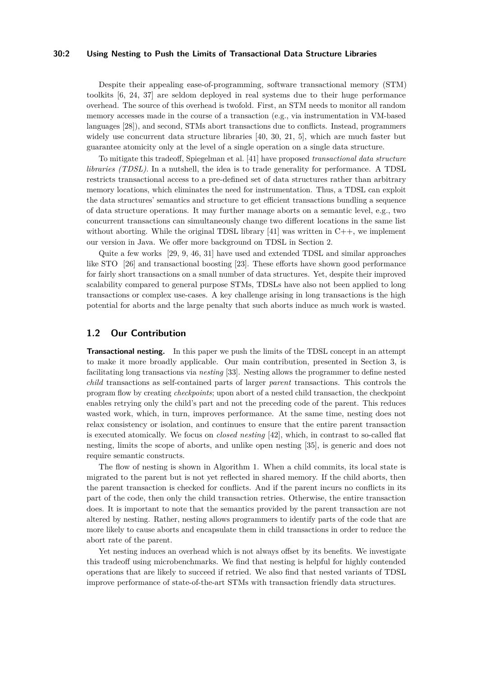# **30:2 Using Nesting to Push the Limits of Transactional Data Structure Libraries**

Despite their appealing ease-of-programming, software transactional memory (STM) toolkits [\[6,](#page-14-1) [24,](#page-15-3) [37\]](#page-15-4) are seldom deployed in real systems due to their huge performance overhead. The source of this overhead is twofold. First, an STM needs to monitor all random memory accesses made in the course of a transaction (e.g., via instrumentation in VM-based languages [\[28\]](#page-15-5)), and second, STMs abort transactions due to conflicts. Instead, programmers widely use concurrent data structure libraries [\[40,](#page-15-6) [30,](#page-15-7) [21,](#page-15-8) [5\]](#page-14-2), which are much faster but guarantee atomicity only at the level of a single operation on a single data structure.

To mitigate this tradeoff, Spiegelman et al. [\[41\]](#page-15-9) have proposed *transactional data structure libraries (TDSL)*. In a nutshell, the idea is to trade generality for performance. A TDSL restricts transactional access to a pre-defined set of data structures rather than arbitrary memory locations, which eliminates the need for instrumentation. Thus, a TDSL can exploit the data structures' semantics and structure to get efficient transactions bundling a sequence of data structure operations. It may further manage aborts on a semantic level, e.g., two concurrent transactions can simultaneously change two different locations in the same list without aborting. While the original TDSL library  $[41]$  was written in C++, we implement our version in Java. We offer more background on TDSL in Section [2.](#page-2-0)

Quite a few works [\[29,](#page-15-10) [9,](#page-14-3) [46,](#page-16-0) [31\]](#page-15-11) have used and extended TDSL and similar approaches like STO [\[26\]](#page-15-12) and transactional boosting [\[23\]](#page-15-13). These efforts have shown good performance for fairly short transactions on a small number of data structures. Yet, despite their improved scalability compared to general purpose STMs, TDSLs have also not been applied to long transactions or complex use-cases. A key challenge arising in long transactions is the high potential for aborts and the large penalty that such aborts induce as much work is wasted.

# **1.2 Our Contribution**

**Transactional nesting.** In this paper we push the limits of the TDSL concept in an attempt to make it more broadly applicable. Our main contribution, presented in Section [3,](#page-3-0) is facilitating long transactions via *nesting* [\[33\]](#page-15-14). Nesting allows the programmer to define nested *child* transactions as self-contained parts of larger *parent* transactions. This controls the program flow by creating *checkpoints*; upon abort of a nested child transaction, the checkpoint enables retrying only the child's part and not the preceding code of the parent. This reduces wasted work, which, in turn, improves performance. At the same time, nesting does not relax consistency or isolation, and continues to ensure that the entire parent transaction is executed atomically. We focus on *closed nesting* [\[42\]](#page-16-1), which, in contrast to so-called flat nesting, limits the scope of aborts, and unlike open nesting [\[35\]](#page-15-15), is generic and does not require semantic constructs.

The flow of nesting is shown in Algorithm [1.](#page-2-1) When a child commits, its local state is migrated to the parent but is not yet reflected in shared memory. If the child aborts, then the parent transaction is checked for conflicts. And if the parent incurs no conflicts in its part of the code, then only the child transaction retries. Otherwise, the entire transaction does. It is important to note that the semantics provided by the parent transaction are not altered by nesting. Rather, nesting allows programmers to identify parts of the code that are more likely to cause aborts and encapsulate them in child transactions in order to reduce the abort rate of the parent.

Yet nesting induces an overhead which is not always offset by its benefits. We investigate this tradeoff using microbenchmarks. We find that nesting is helpful for highly contended operations that are likely to succeed if retried. We also find that nested variants of TDSL improve performance of state-of-the-art STMs with transaction friendly data structures.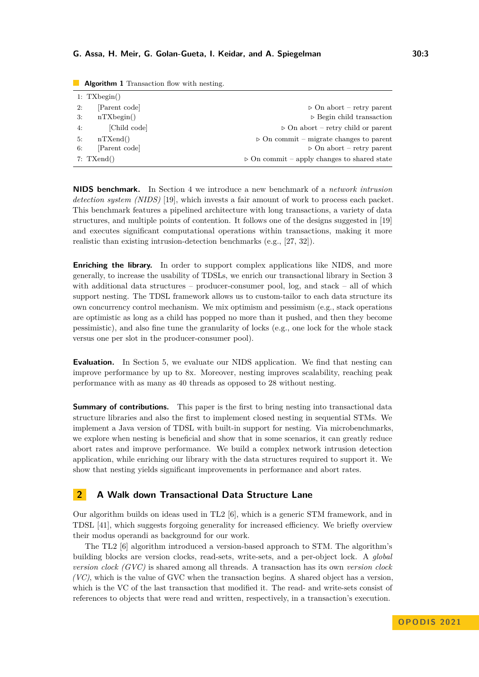| $1:$ TXbegin() |               |                                                            |  |  |  |  |
|----------------|---------------|------------------------------------------------------------|--|--|--|--|
| 2:             | Parent code   | $\triangleright$ On abort – retry parent                   |  |  |  |  |
| 3:             | nTXbegin()    | $\triangleright$ Begin child transaction                   |  |  |  |  |
| 4:             | [Child code]  | $\triangleright$ On abort – retry child or parent          |  |  |  |  |
| 5:             | nTXend()      | $\triangleright$ On commit – migrate changes to parent     |  |  |  |  |
| 6:             | [Parent code] | $\triangleright$ On abort – retry parent                   |  |  |  |  |
| $7:$ TXend()   |               | $\triangleright$ On commit – apply changes to shared state |  |  |  |  |

<span id="page-2-1"></span>**Algorithm 1** Transaction flow with nesting.

**NIDS benchmark.** In Section [4](#page-8-0) we introduce a new benchmark of a *network intrusion detection system (NIDS)* [\[19\]](#page-15-16), which invests a fair amount of work to process each packet. This benchmark features a pipelined architecture with long transactions, a variety of data structures, and multiple points of contention. It follows one of the designs suggested in [\[19\]](#page-15-16) and executes significant computational operations within transactions, making it more realistic than existing intrusion-detection benchmarks (e.g., [\[27,](#page-15-17) [32\]](#page-15-18)).

**Enriching the library.** In order to support complex applications like NIDS, and more generally, to increase the usability of TDSLs, we enrich our transactional library in Section [3](#page-3-0) with additional data structures – producer-consumer pool,  $log$ , and stack – all of which support nesting. The TDSL framework allows us to custom-tailor to each data structure its own concurrency control mechanism. We mix optimism and pessimism (e.g., stack operations are optimistic as long as a child has popped no more than it pushed, and then they become pessimistic), and also fine tune the granularity of locks (e.g., one lock for the whole stack versus one per slot in the producer-consumer pool).

**Evaluation.** In Section [5,](#page-10-0) we evaluate our NIDS application. We find that nesting can improve performance by up to 8x. Moreover, nesting improves scalability, reaching peak performance with as many as 40 threads as opposed to 28 without nesting.

**Summary of contributions.** This paper is the first to bring nesting into transactional data structure libraries and also the first to implement closed nesting in sequential STMs. We implement a Java version of TDSL with built-in support for nesting. Via microbenchmarks, we explore when nesting is beneficial and show that in some scenarios, it can greatly reduce abort rates and improve performance. We build a complex network intrusion detection application, while enriching our library with the data structures required to support it. We show that nesting yields significant improvements in performance and abort rates.

# <span id="page-2-0"></span>**2 A Walk down Transactional Data Structure Lane**

Our algorithm builds on ideas used in TL2 [\[6\]](#page-14-1), which is a generic STM framework, and in TDSL [\[41\]](#page-15-9), which suggests forgoing generality for increased efficiency. We briefly overview their modus operandi as background for our work.

The TL2 [\[6\]](#page-14-1) algorithm introduced a version-based approach to STM. The algorithm's building blocks are version clocks, read-sets, write-sets, and a per-object lock. A *global version clock (GVC)* is shared among all threads. A transaction has its own *version clock (VC)*, which is the value of GVC when the transaction begins. A shared object has a version, which is the VC of the last transaction that modified it. The read- and write-sets consist of references to objects that were read and written, respectively, in a transaction's execution.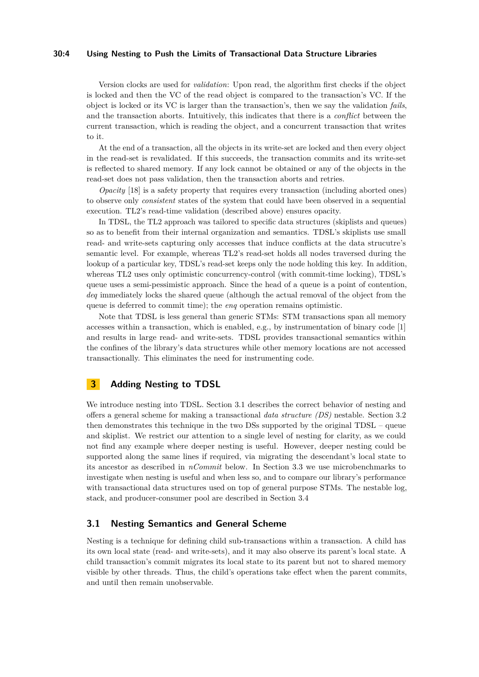## **30:4 Using Nesting to Push the Limits of Transactional Data Structure Libraries**

Version clocks are used for *validation*: Upon read, the algorithm first checks if the object is locked and then the VC of the read object is compared to the transaction's VC. If the object is locked or its VC is larger than the transaction's, then we say the validation *fails*, and the transaction aborts. Intuitively, this indicates that there is a *conflict* between the current transaction, which is reading the object, and a concurrent transaction that writes to it.

At the end of a transaction, all the objects in its write-set are locked and then every object in the read-set is revalidated. If this succeeds, the transaction commits and its write-set is reflected to shared memory. If any lock cannot be obtained or any of the objects in the read-set does not pass validation, then the transaction aborts and retries.

*Opacity* [\[18\]](#page-14-4) is a safety property that requires every transaction (including aborted ones) to observe only *consistent* states of the system that could have been observed in a sequential execution. TL2's read-time validation (described above) ensures opacity.

In TDSL, the TL2 approach was tailored to specific data structures (skiplists and queues) so as to benefit from their internal organization and semantics. TDSL's skiplists use small read- and write-sets capturing only accesses that induce conflicts at the data strucutre's semantic level. For example, whereas TL2's read-set holds all nodes traversed during the lookup of a particular key, TDSL's read-set keeps only the node holding this key. In addition, whereas TL2 uses only optimistic concurrency-control (with commit-time locking), TDSL's queue uses a semi-pessimistic approach. Since the head of a queue is a point of contention, *deq* immediately locks the shared queue (although the actual removal of the object from the queue is deferred to commit time); the *enq* operation remains optimistic.

Note that TDSL is less general than generic STMs: STM transactions span all memory accesses within a transaction, which is enabled, e.g., by instrumentation of binary code [\[1\]](#page-14-5) and results in large read- and write-sets. TDSL provides transactional semantics within the confines of the library's data structures while other memory locations are not accessed transactionally. This eliminates the need for instrumenting code.

# <span id="page-3-0"></span>**3 Adding Nesting to TDSL**

We introduce nesting into TDSL. Section [3.1](#page-3-1) describes the correct behavior of nesting and offers a general scheme for making a transactional *data structure (DS)* nestable. Section [3.2](#page-5-0) then demonstrates this technique in the two DSs supported by the original TDSL – queue and skiplist. We restrict our attention to a single level of nesting for clarity, as we could not find any example where deeper nesting is useful. However, deeper nesting could be supported along the same lines if required, via migrating the descendant's local state to its ancestor as described in *nCommit* below. In Section [3.3](#page-6-0) we use microbenchmarks to investigate when nesting is useful and when less so, and to compare our library's performance with transactional data structures used on top of general purpose STMs. The nestable log, stack, and producer-consumer pool are described in Section [3.4](#page-7-0)

# <span id="page-3-1"></span>**3.1 Nesting Semantics and General Scheme**

Nesting is a technique for defining child sub-transactions within a transaction. A child has its own local state (read- and write-sets), and it may also observe its parent's local state. A child transaction's commit migrates its local state to its parent but not to shared memory visible by other threads. Thus, the child's operations take effect when the parent commits, and until then remain unobservable.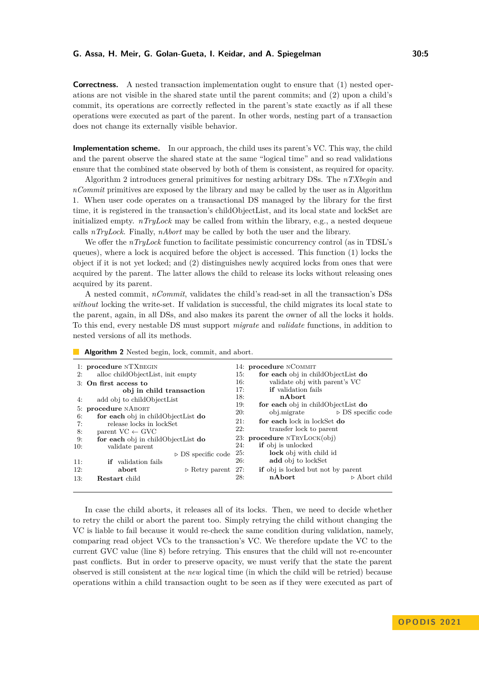**Correctness.** A nested transaction implementation ought to ensure that (1) nested operations are not visible in the shared state until the parent commits; and (2) upon a child's commit, its operations are correctly reflected in the parent's state exactly as if all these operations were executed as part of the parent. In other words, nesting part of a transaction does not change its externally visible behavior.

<span id="page-4-1"></span>**Implementation scheme.** In our approach, the child uses its parent's VC. This way, the child and the parent observe the shared state at the same "logical time" and so read validations ensure that the combined state observed by both of them is consistent, as required for opacity.

Algorithm [2](#page-4-0) introduces general primitives for nesting arbitrary DSs. The *nTXbegin* and *nCommit* primitives are exposed by the library and may be called by the user as in Algorithm [1.](#page-2-1) When user code operates on a transactional DS managed by the library for the first time, it is registered in the transaction's childObjectList, and its local state and lockSet are initialized empty. *nTryLock* may be called from within the library, e.g., a nested dequeue calls *nTryLock*. Finally, *nAbort* may be called by both the user and the library.

We offer the *nTryLock* function to facilitate pessimistic concurrency control (as in TDSL's queues), where a lock is acquired before the object is accessed. This function (1) locks the object if it is not yet locked; and (2) distinguishes newly acquired locks from ones that were acquired by the parent. The latter allows the child to release its locks without releasing ones acquired by its parent.

A nested commit, *nCommit*, validates the child's read-set in all the transaction's DSs *without* locking the write-set. If validation is successful, the child migrates its local state to the parent, again, in all DSs, and also makes its parent the owner of all the locks it holds. To this end, every nestable DS must support *migrate* and *validate* functions, in addition to nested versions of all its methods.

<span id="page-4-0"></span>**Algorithm 2** Nested begin, lock, commit, and abort.

| 1: procedure NTXBEGIN |                                                                                       | 14: <b>procedure</b> NCOMMIT |                                                  |  |
|-----------------------|---------------------------------------------------------------------------------------|------------------------------|--------------------------------------------------|--|
| 2:                    | alloc childObjectList, init empty                                                     |                              | for each obj in childObjectList do<br>15:        |  |
| 3: On first access to |                                                                                       | 16:                          | validate obj with parent's VC                    |  |
|                       | obj in child transaction                                                              |                              | <b>if</b> validation fails                       |  |
| 4:                    | add obj to childObjectList                                                            |                              | nAbort                                           |  |
|                       | 5: procedure NABORT<br>for each obj in childObjectList do<br>release locks in lockSet |                              | for each obj in childObjectList do               |  |
| 6:                    |                                                                                       |                              | $\triangleright$ DS specific code<br>obj.migrate |  |
| 7:                    |                                                                                       |                              | for each lock in lockSet do                      |  |
| 8:                    | parent $VC \leftarrow GVC$                                                            |                              | transfer lock to parent                          |  |
| 9:                    | for each obj in childObjectList do                                                    |                              | 23: procedure NTRYLOCK(obj)                      |  |
| 10:                   | validate parent                                                                       | 24:                          | <b>if</b> obj is unlocked                        |  |
|                       | $\triangleright$ DS specific code                                                     | 25:                          | lock obj with child id                           |  |
| 11:                   | <b>if</b> validation fails                                                            | <b>26:</b>                   | add obj to lockSet                               |  |
| 12:                   | abort<br>$\triangleright$ Retry parent 27:                                            |                              | <b>if</b> obj is locked but not by parent        |  |
| 13:                   | <b>Restart</b> child                                                                  | 28:                          | nAbort<br>$\triangleright$ Abort child           |  |

In case the child aborts, it releases all of its locks. Then, we need to decide whether to retry the child or abort the parent too. Simply retrying the child without changing the VC is liable to fail because it would re-check the same condition during validation, namely, comparing read object VCs to the transaction's VC. We therefore update the VC to the current GVC value (line [8\)](#page-4-1) before retrying. This ensures that the child will not re-encounter past conflicts. But in order to preserve opacity, we must verify that the state the parent observed is still consistent at the *new* logical time (in which the child will be retried) because operations within a child transaction ought to be seen as if they were executed as part of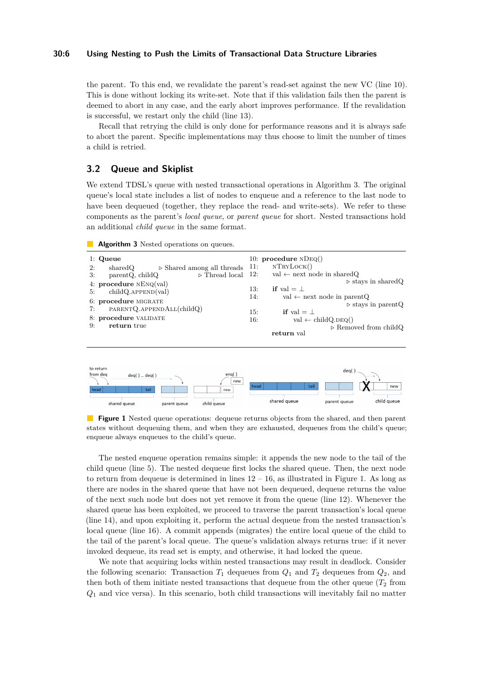#### **30:6 Using Nesting to Push the Limits of Transactional Data Structure Libraries**

the parent. To this end, we revalidate the parent's read-set against the new VC (line [10\)](#page-4-1). This is done without locking its write-set. Note that if this validation fails then the parent is deemed to abort in any case, and the early abort improves performance. If the revalidation is successful, we restart only the child (line [13\)](#page-4-1).

Recall that retrying the child is only done for performance reasons and it is always safe to abort the parent. Specific implementations may thus choose to limit the number of times a child is retried.

# <span id="page-5-0"></span>**3.2 Queue and Skiplist**

We extend TDSL's queue with nested transactional operations in Algorithm [3.](#page-5-1) The original queue's local state includes a list of nodes to enqueue and a reference to the last node to have been dequeued (together, they replace the read- and write-sets). We refer to these components as the parent's *local queue*, or *parent queue* for short. Nested transactions hold an additional *child queue* in the same format.

#### <span id="page-5-1"></span>**Algorithm 3** Nested operations on queues.



<span id="page-5-2"></span>

**Figure 1** Nested queue operations: dequeue returns objects from the shared, and then parent states without dequeuing them, and when they are exhausted, dequeues from the child's queue; enqueue always enqueues to the child's queue.

The nested enqueue operation remains simple: it appends the new node to the tail of the child queue (line [5\)](#page-5-0). The nested dequeue first locks the shared queue. Then, the next node to return from dequeue is determined in lines  $12 - 16$ , as illustrated in Figure [1.](#page-5-2) As long as there are nodes in the shared queue that have not been dequeued, dequeue returns the value of the next such node but does not yet remove it from the queue (line [12\)](#page-5-0). Whenever the shared queue has been exploited, we proceed to traverse the parent transaction's local queue (line [14\)](#page-5-0), and upon exploiting it, perform the actual dequeue from the nested transaction's local queue (line [16\)](#page-5-0). A commit appends (migrates) the entire local queue of the child to the tail of the parent's local queue. The queue's validation always returns true: if it never invoked dequeue, its read set is empty, and otherwise, it had locked the queue.

We note that acquiring locks within nested transactions may result in deadlock. Consider the following scenario: Transaction  $T_1$  dequeues from  $Q_1$  and  $T_2$  dequeues from  $Q_2$ , and then both of them initiate nested transactions that dequeue from the other queue  $(T_2$  from *Q*<sup>1</sup> and vice versa). In this scenario, both child transactions will inevitably fail no matter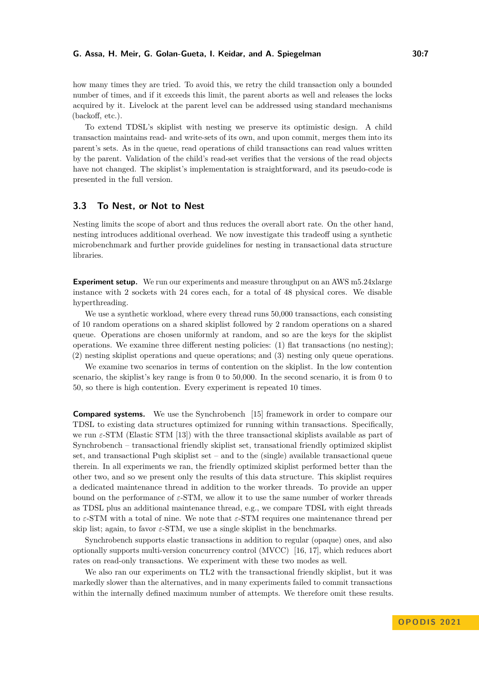how many times they are tried. To avoid this, we retry the child transaction only a bounded number of times, and if it exceeds this limit, the parent aborts as well and releases the locks acquired by it. Livelock at the parent level can be addressed using standard mechanisms (backoff, etc.).

To extend TDSL's skiplist with nesting we preserve its optimistic design. A child transaction maintains read- and write-sets of its own, and upon commit, merges them into its parent's sets. As in the queue, read operations of child transactions can read values written by the parent. Validation of the child's read-set verifies that the versions of the read objects have not changed. The skiplist's implementation is straightforward, and its pseudo-code is presented in the full version.

# <span id="page-6-0"></span>**3.3 To Nest, or Not to Nest**

Nesting limits the scope of abort and thus reduces the overall abort rate. On the other hand, nesting introduces additional overhead. We now investigate this tradeoff using a synthetic microbenchmark and further provide guidelines for nesting in transactional data structure libraries.

**Experiment setup.** We run our experiments and measure throughput on an AWS m5.24xlarge instance with 2 sockets with 24 cores each, for a total of 48 physical cores. We disable hyperthreading.

We use a synthetic workload, where every thread runs 50,000 transactions, each consisting of 10 random operations on a shared skiplist followed by 2 random operations on a shared queue. Operations are chosen uniformly at random, and so are the keys for the skiplist operations. We examine three different nesting policies: (1) flat transactions (no nesting); (2) nesting skiplist operations and queue operations; and (3) nesting only queue operations.

We examine two scenarios in terms of contention on the skiplist. In the low contention scenario, the skiplist's key range is from 0 to 50,000. In the second scenario, it is from 0 to 50, so there is high contention. Every experiment is repeated 10 times.

**Compared systems.** We use the Synchrobench [\[15\]](#page-14-6) framework in order to compare our TDSL to existing data structures optimized for running within transactions. Specifically, we run  $\varepsilon$ -STM (Elastic STM [\[13\]](#page-14-7)) with the three transactional skiplists available as part of Synchrobench – transactional friendly skiplist set, transational friendly optimized skiplist set, and transactional Pugh skiplist set – and to the (single) available transactional queue therein. In all experiments we ran, the friendly optimized skiplist performed better than the other two, and so we present only the results of this data structure. This skiplist requires a dedicated maintenance thread in addition to the worker threads. To provide an upper bound on the performance of  $\varepsilon$ -STM, we allow it to use the same number of worker threads as TDSL plus an additional maintenance thread, e.g., we compare TDSL with eight threads to *ε*-STM with a total of nine. We note that *ε*-STM requires one maintenance thread per skip list; again, to favor  $\varepsilon$ -STM, we use a single skiplist in the benchmarks.

Synchrobench supports elastic transactions in addition to regular (opaque) ones, and also optionally supports multi-version concurrency control (MVCC) [\[16,](#page-14-8) [17\]](#page-14-9), which reduces abort rates on read-only transactions. We experiment with these two modes as well.

We also ran our experiments on TL2 with the transactional friendly skiplist, but it was markedly slower than the alternatives, and in many experiments failed to commit transactions within the internally defined maximum number of attempts. We therefore omit these results.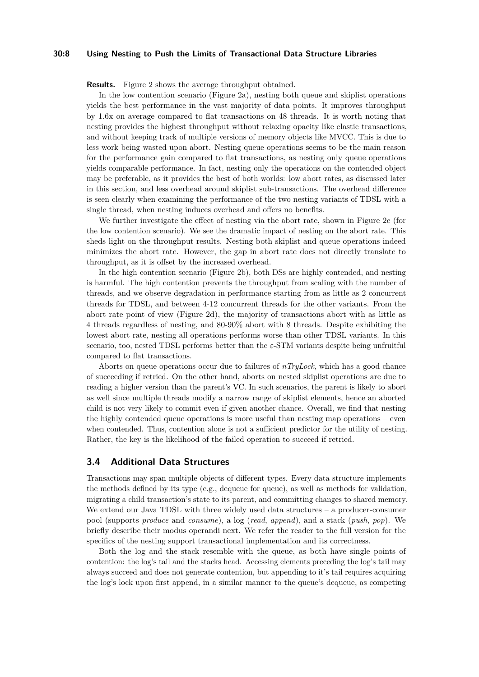# **30:8 Using Nesting to Push the Limits of Transactional Data Structure Libraries**

**Results.** Figure [2](#page-8-1) shows the average throughput obtained.

In the low contention scenario (Figure [2a\)](#page-8-1), nesting both queue and skiplist operations yields the best performance in the vast majority of data points. It improves throughput by 1.6x on average compared to flat transactions on 48 threads. It is worth noting that nesting provides the highest throughput without relaxing opacity like elastic transactions, and without keeping track of multiple versions of memory objects like MVCC. This is due to less work being wasted upon abort. Nesting queue operations seems to be the main reason for the performance gain compared to flat transactions, as nesting only queue operations yields comparable performance. In fact, nesting only the operations on the contended object may be preferable, as it provides the best of both worlds: low abort rates, as discussed later in this section, and less overhead around skiplist sub-transactions. The overhead difference is seen clearly when examining the performance of the two nesting variants of TDSL with a single thread, when nesting induces overhead and offers no benefits.

We further investigate the effect of nesting via the abort rate, shown in Figure [2c](#page-8-1) (for the low contention scenario). We see the dramatic impact of nesting on the abort rate. This sheds light on the throughput results. Nesting both skiplist and queue operations indeed minimizes the abort rate. However, the gap in abort rate does not directly translate to throughput, as it is offset by the increased overhead.

In the high contention scenario (Figure [2b\)](#page-8-1), both DSs are highly contended, and nesting is harmful. The high contention prevents the throughput from scaling with the number of threads, and we observe degradation in performance starting from as little as 2 concurrent threads for TDSL, and between 4-12 concurrent threads for the other variants. From the abort rate point of view (Figure [2d\)](#page-8-1), the majority of transactions abort with as little as 4 threads regardless of nesting, and 80-90% abort with 8 threads. Despite exhibiting the lowest abort rate, nesting all operations performs worse than other TDSL variants. In this scenario, too, nested TDSL performs better than the *ε*-STM variants despite being unfruitful compared to flat transactions.

Aborts on queue operations occur due to failures of *nTryLock*, which has a good chance of succeeding if retried. On the other hand, aborts on nested skiplist operations are due to reading a higher version than the parent's VC. In such scenarios, the parent is likely to abort as well since multiple threads modify a narrow range of skiplist elements, hence an aborted child is not very likely to commit even if given another chance. Overall, we find that nesting the highly contended queue operations is more useful than nesting map operations – even when contended. Thus, contention alone is not a sufficient predictor for the utility of nesting. Rather, the key is the likelihood of the failed operation to succeed if retried.

# <span id="page-7-0"></span>**3.4 Additional Data Structures**

Transactions may span multiple objects of different types. Every data structure implements the methods defined by its type (e.g., dequeue for queue), as well as methods for validation, migrating a child transaction's state to its parent, and committing changes to shared memory. We extend our Java TDSL with three widely used data structures – a producer-consumer pool (supports *produce* and *consume*), a log (*read*, *append*), and a stack (*push*, *pop*). We briefly describe their modus operandi next. We refer the reader to the full version for the specifics of the nesting support transactional implementation and its correctness.

Both the log and the stack resemble with the queue, as both have single points of contention: the log's tail and the stacks head. Accessing elements preceding the log's tail may always succeed and does not generate contention, but appending to it's tail requires acquiring the log's lock upon first append, in a similar manner to the queue's dequeue, as competing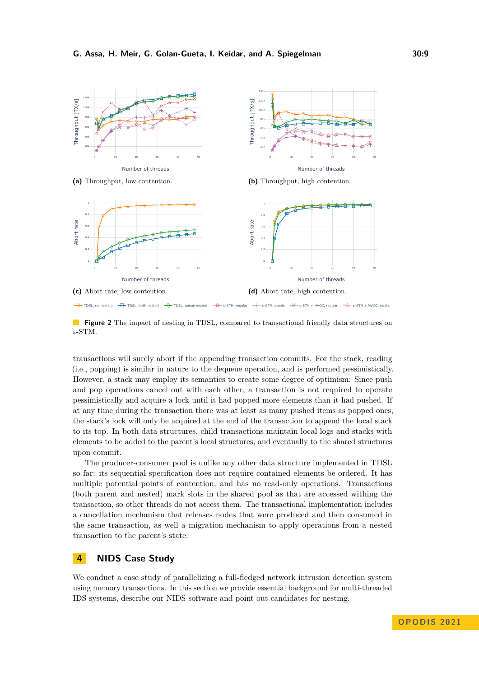<span id="page-8-1"></span>

**Figure 2** The impact of nesting in TDSL, compared to transactional friendly data structures on *ε*-STM.

transactions will surely abort if the appending transaction commits. For the stack, reading (i.e., popping) is similar in nature to the dequeue operation, and is performed pessimistically. However, a stack may employ its semantics to create some degree of optimism: Since push and pop operations cancel out with each other, a transaction is not required to operate pessimistically and acquire a lock until it had popped more elements than it had pushed. If at any time during the transaction there was at least as many pushed items as popped ones, the stack's lock will only be acquired at the end of the transaction to append the local stack to its top. In both data structures, child transactions maintain local logs and stacks with elements to be added to the parent's local structures, and eventually to the shared structures upon commit.

The producer-consumer pool is unlike any other data structure implemented in TDSL so far: its sequential specification does not require contained elements be ordered. It has multiple potential points of contention, and has no read-only operations. Transactions (both parent and nested) mark slots in the shared pool as that are accessed withing the transaction, so other threads do not access them. The transactional implementation includes a cancellation mechanism that releases nodes that were produced and then consumed in the same transaction, as well a migration mechanism to apply operations from a nested transaction to the parent's state.

# <span id="page-8-0"></span>**4 NIDS Case Study**

We conduct a case study of parallelizing a full-fledged network intrusion detection system using memory transactions. In this section we provide essential background for multi-threaded IDS systems, describe our NIDS software and point out candidates for nesting.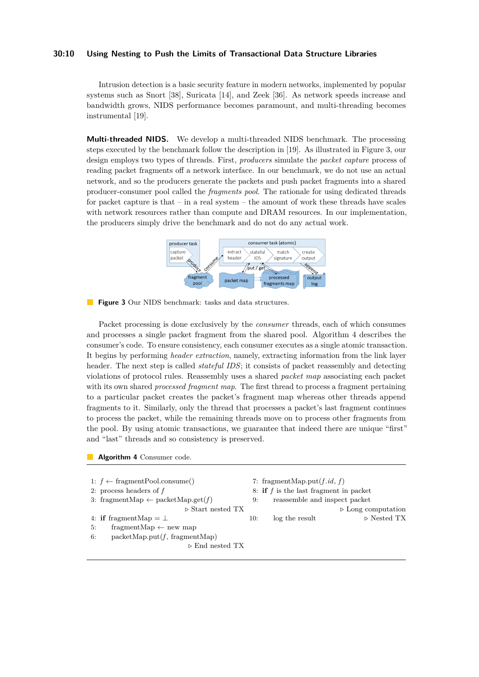#### **30:10 Using Nesting to Push the Limits of Transactional Data Structure Libraries**

Intrusion detection is a basic security feature in modern networks, implemented by popular systems such as Snort [\[38\]](#page-15-19), Suricata [\[14\]](#page-14-10), and Zeek [\[36\]](#page-15-20). As network speeds increase and bandwidth grows, NIDS performance becomes paramount, and multi-threading becomes instrumental [\[19\]](#page-15-16).

**Multi-threaded NIDS.** We develop a multi-threaded NIDS benchmark. The processing steps executed by the benchmark follow the description in [\[19\]](#page-15-16). As illustrated in Figure [3,](#page-9-0) our design employs two types of threads. First, *producers* simulate the *packet capture* process of reading packet fragments off a network interface. In our benchmark, we do not use an actual network, and so the producers generate the packets and push packet fragments into a shared producer-consumer pool called the *fragments pool*. The rationale for using dedicated threads for packet capture is that – in a real system – the amount of work these threads have scales with network resources rather than compute and DRAM resources. In our implementation, the producers simply drive the benchmark and do not do any actual work.



<span id="page-9-0"></span>**Figure 3** Our NIDS benchmark: tasks and data structures.

Packet processing is done exclusively by the *consumer* threads, each of which consumes and processes a single packet fragment from the shared pool. Algorithm [4](#page-9-1) describes the consumer's code. To ensure consistency, each consumer executes as a single atomic transaction. It begins by performing *header extraction*, namely, extracting information from the link layer header. The next step is called *stateful IDS*; it consists of packet reassembly and detecting violations of protocol rules. Reassembly uses a shared *packet map* associating each packet with its own shared *processed fragment map*. The first thread to process a fragment pertaining to a particular packet creates the packet's fragment map whereas other threads append fragments to it. Similarly, only the thread that processes a packet's last fragment continues to process the packet, while the remaining threads move on to process other fragments from the pool. By using atomic transactions, we guarantee that indeed there are unique "first" and "last" threads and so consistency is preserved.

<span id="page-9-1"></span>**Algorithm 4** Consumer code.

1:  $f \leftarrow$  fragmentPool.consume() 2: process headers of *f* 3: fragmentMap  $\leftarrow$  packetMap.get(*f*) *▷* Start nested TX 4: **if** fragmentMap  $=$   $\perp$ 5: fragmentMap  $\leftarrow$  new map 6: packetMap.put $(f,$  fragmentMap) *▷* End nested TX

7: fragmentMap.put $(f$ *, id*,  $f$ )

8: **if** *f* is the last fragment in packet 9: reassemble and inspect packet

*▷* Long computation

10: log the result *▷* Nested TX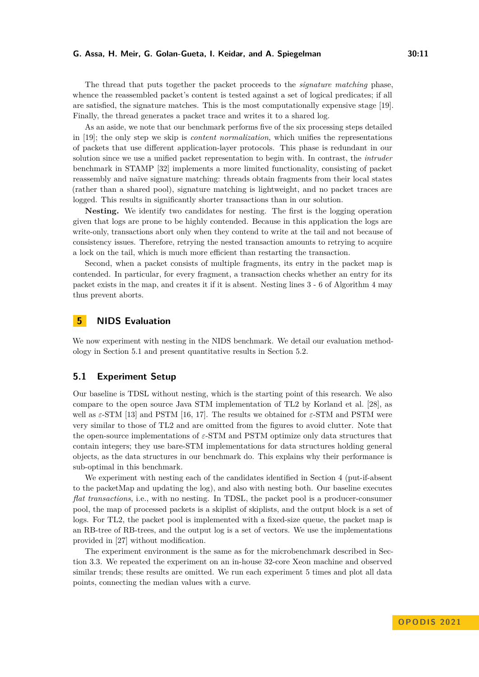The thread that puts together the packet proceeds to the *signature matching* phase, whence the reassembled packet's content is tested against a set of logical predicates; if all are satisfied, the signature matches. This is the most computationally expensive stage [\[19\]](#page-15-16). Finally, the thread generates a packet trace and writes it to a shared log.

As an aside, we note that our benchmark performs five of the six processing steps detailed in [\[19\]](#page-15-16); the only step we skip is *content normalization*, which unifies the representations of packets that use different application-layer protocols. This phase is redundant in our solution since we use a unified packet representation to begin with. In contrast, the *intruder* benchmark in STAMP [\[32\]](#page-15-18) implements a more limited functionality, consisting of packet reassembly and naïve signature matching: threads obtain fragments from their local states (rather than a shared pool), signature matching is lightweight, and no packet traces are logged. This results in significantly shorter transactions than in our solution.

**Nesting.** We identify two candidates for nesting. The first is the logging operation given that logs are prone to be highly contended. Because in this application the logs are write-only, transactions abort only when they contend to write at the tail and not because of consistency issues. Therefore, retrying the nested transaction amounts to retrying to acquire a lock on the tail, which is much more efficient than restarting the transaction.

Second, when a packet consists of multiple fragments, its entry in the packet map is contended. In particular, for every fragment, a transaction checks whether an entry for its packet exists in the map, and creates it if it is absent. Nesting lines [3](#page-9-1) - [6](#page-9-1) of Algorithm [4](#page-9-1) may thus prevent aborts.

# <span id="page-10-0"></span>**5 NIDS Evaluation**

We now experiment with nesting in the NIDS benchmark. We detail our evaluation methodology in Section [5.1](#page-10-1) and present quantitative results in Section [5.2.](#page-11-0)

# <span id="page-10-1"></span>**5.1 Experiment Setup**

Our baseline is TDSL without nesting, which is the starting point of this research. We also compare to the open source Java STM implementation of TL2 by Korland et al. [\[28\]](#page-15-5), as well as *ε*-STM [\[13\]](#page-14-7) and PSTM [\[16,](#page-14-8) [17\]](#page-14-9). The results we obtained for *ε*-STM and PSTM were very similar to those of TL2 and are omitted from the figures to avoid clutter. Note that the open-source implementations of *ε*-STM and PSTM optimize only data structures that contain integers; they use bare-STM implementations for data structures holding general objects, as the data structures in our benchmark do. This explains why their performance is sub-optimal in this benchmark.

We experiment with nesting each of the candidates identified in Section [4](#page-8-0) (put-if-absent to the packetMap and updating the log), and also with nesting both. Our baseline executes *flat transactions*, i.e., with no nesting. In TDSL, the packet pool is a producer-consumer pool, the map of processed packets is a skiplist of skiplists, and the output block is a set of logs. For TL2, the packet pool is implemented with a fixed-size queue, the packet map is an RB-tree of RB-trees, and the output log is a set of vectors. We use the implementations provided in [\[27\]](#page-15-17) without modification.

The experiment environment is the same as for the microbenchmark described in Section [3.3.](#page-6-0) We repeated the experiment on an in-house 32-core Xeon machine and observed similar trends; these results are omitted. We run each experiment 5 times and plot all data points, connecting the median values with a curve.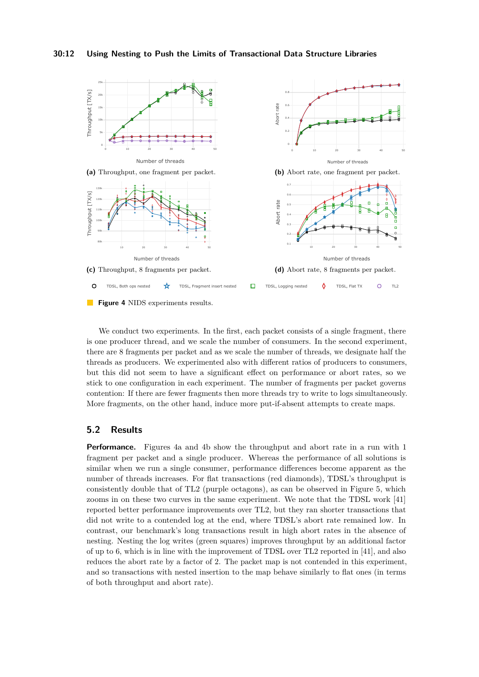<span id="page-11-1"></span>

We conduct two experiments. In the first, each packet consists of a single fragment, there is one producer thread, and we scale the number of consumers. In the second experiment, there are 8 fragments per packet and as we scale the number of threads, we designate half the threads as producers. We experimented also with different ratios of producers to consumers, but this did not seem to have a significant effect on performance or abort rates, so we stick to one configuration in each experiment. The number of fragments per packet governs contention: If there are fewer fragments then more threads try to write to logs simultaneously. More fragments, on the other hand, induce more put-if-absent attempts to create maps.

# <span id="page-11-0"></span>**5.2 Results**

**Performance.** Figures [4a](#page-11-1) and [4b](#page-11-1) show the throughput and abort rate in a run with 1 fragment per packet and a single producer. Whereas the performance of all solutions is similar when we run a single consumer, performance differences become apparent as the number of threads increases. For flat transactions (red diamonds), TDSL's throughput is consistently double that of TL2 (purple octagons), as can be observed in Figure [5,](#page-12-0) which zooms in on these two curves in the same experiment. We note that the TDSL work [\[41\]](#page-15-9) reported better performance improvements over TL2, but they ran shorter transactions that did not write to a contended log at the end, where TDSL's abort rate remained low. In contrast, our benchmark's long transactions result in high abort rates in the absence of nesting. Nesting the log writes (green squares) improves throughput by an additional factor of up to 6, which is in line with the improvement of TDSL over TL2 reported in [\[41\]](#page-15-9), and also reduces the abort rate by a factor of 2. The packet map is not contended in this experiment, and so transactions with nested insertion to the map behave similarly to flat ones (in terms of both throughput and abort rate).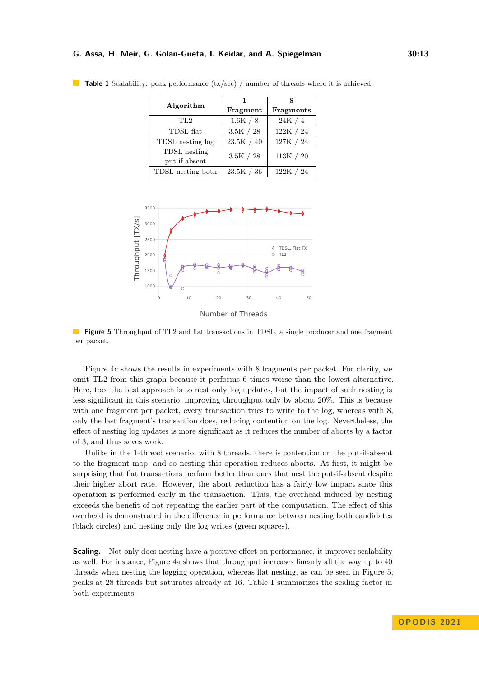| Algorithm                     | Fragment    | Fragments |
|-------------------------------|-------------|-----------|
| TL <sub>2</sub>               | 1.6K / 8    | 24K / 4   |
| TDSL flat                     | 3.5K / 28   | 122K / 24 |
| TDSL nesting log              | 23.5K / 40  | 127K / 24 |
| TDSL nesting<br>put-if-absent | $3.5K / 28$ | 113K / 20 |
| TDSL nesting both             | 23.5K / 36  | 122K / 24 |

<span id="page-12-1"></span>**Table 1** Scalability: peak performance  $(tx/sec)$  / number of threads where it is achieved.

<span id="page-12-0"></span>

Number of Threads

**Figure 5** Throughput of TL2 and flat transactions in TDSL, a single producer and one fragment per packet.

Figure [4c](#page-11-1) shows the results in experiments with 8 fragments per packet. For clarity, we omit TL2 from this graph because it performs 6 times worse than the lowest alternative. Here, too, the best approach is to nest only log updates, but the impact of such nesting is less significant in this scenario, improving throughput only by about 20%. This is because with one fragment per packet, every transaction tries to write to the log, whereas with 8, only the last fragment's transaction does, reducing contention on the log. Nevertheless, the effect of nesting log updates is more significant as it reduces the number of aborts by a factor of 3, and thus saves work.

Unlike in the 1-thread scenario, with 8 threads, there is contention on the put-if-absent to the fragment map, and so nesting this operation reduces aborts. At first, it might be surprising that flat transactions perform better than ones that nest the put-if-absent despite their higher abort rate. However, the abort reduction has a fairly low impact since this operation is performed early in the transaction. Thus, the overhead induced by nesting exceeds the benefit of not repeating the earlier part of the computation. The effect of this overhead is demonstrated in the difference in performance between nesting both candidates (black circles) and nesting only the log writes (green squares).

**Scaling.** Not only does nesting have a positive effect on performance, it improves scalability as well. For instance, Figure [4a](#page-11-1) shows that throughput increases linearly all the way up to 40 threads when nesting the logging operation, whereas flat nesting, as can be seen in Figure [5,](#page-12-0) peaks at 28 threads but saturates already at 16. Table [1](#page-12-1) summarizes the scaling factor in both experiments.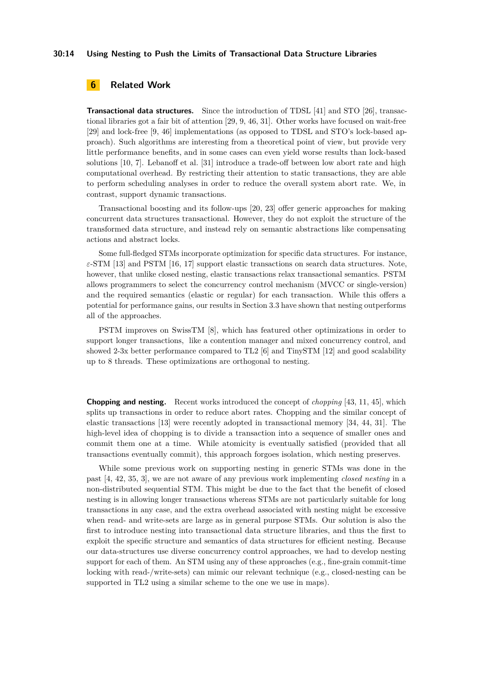#### **30:14 Using Nesting to Push the Limits of Transactional Data Structure Libraries**

# **6 Related Work**

**Transactional data structures.** Since the introduction of TDSL [\[41\]](#page-15-9) and STO [\[26\]](#page-15-12), transactional libraries got a fair bit of attention [\[29,](#page-15-10) [9,](#page-14-3) [46,](#page-16-0) [31\]](#page-15-11). Other works have focused on wait-free [\[29\]](#page-15-10) and lock-free [\[9,](#page-14-3) [46\]](#page-16-0) implementations (as opposed to TDSL and STO's lock-based approach). Such algorithms are interesting from a theoretical point of view, but provide very little performance benefits, and in some cases can even yield worse results than lock-based solutions [\[10,](#page-14-11) [7\]](#page-14-12). Lebanoff et al. [\[31\]](#page-15-11) introduce a trade-off between low abort rate and high computational overhead. By restricting their attention to static transactions, they are able to perform scheduling analyses in order to reduce the overall system abort rate. We, in contrast, support dynamic transactions.

Transactional boosting and its follow-ups [\[20,](#page-15-21) [23\]](#page-15-13) offer generic approaches for making concurrent data structures transactional. However, they do not exploit the structure of the transformed data structure, and instead rely on semantic abstractions like compensating actions and abstract locks.

Some full-fledged STMs incorporate optimization for specific data structures. For instance, *ε*-STM [\[13\]](#page-14-7) and PSTM [\[16,](#page-14-8) [17\]](#page-14-9) support elastic transactions on search data structures. Note, however, that unlike closed nesting, elastic transactions relax transactional semantics. PSTM allows programmers to select the concurrency control mechanism (MVCC or single-version) and the required semantics (elastic or regular) for each transaction. While this offers a potential for performance gains, our results in Section [3.3](#page-6-0) have shown that nesting outperforms all of the approaches.

PSTM improves on SwissTM [\[8\]](#page-14-13), which has featured other optimizations in order to support longer transactions, like a contention manager and mixed concurrency control, and showed 2-3x better performance compared to TL2 [\[6\]](#page-14-1) and TinySTM [\[12\]](#page-14-14) and good scalability up to 8 threads. These optimizations are orthogonal to nesting.

**Chopping and nesting.** Recent works introduced the concept of *chopping* [\[43,](#page-16-2) [11,](#page-14-15) [45\]](#page-16-3), which splits up transactions in order to reduce abort rates. Chopping and the similar concept of elastic transactions [\[13\]](#page-14-7) were recently adopted in transactional memory [\[34,](#page-15-22) [44,](#page-16-4) [31\]](#page-15-11). The high-level idea of chopping is to divide a transaction into a sequence of smaller ones and commit them one at a time. While atomicity is eventually satisfied (provided that all transactions eventually commit), this approach forgoes isolation, which nesting preserves.

While some previous work on supporting nesting in generic STMs was done in the past [\[4,](#page-14-16) [42,](#page-16-1) [35,](#page-15-15) [3\]](#page-14-17), we are not aware of any previous work implementing *closed nesting* in a non-distributed sequential STM. This might be due to the fact that the benefit of closed nesting is in allowing longer transactions whereas STMs are not particularly suitable for long transactions in any case, and the extra overhead associated with nesting might be excessive when read- and write-sets are large as in general purpose STMs. Our solution is also the first to introduce nesting into transactional data structure libraries, and thus the first to exploit the specific structure and semantics of data structures for efficient nesting. Because our data-structures use diverse concurrency control approaches, we had to develop nesting support for each of them. An STM using any of these approaches (e.g., fine-grain commit-time locking with read-/write-sets) can mimic our relevant technique (e.g., closed-nesting can be supported in TL2 using a similar scheme to the one we use in maps).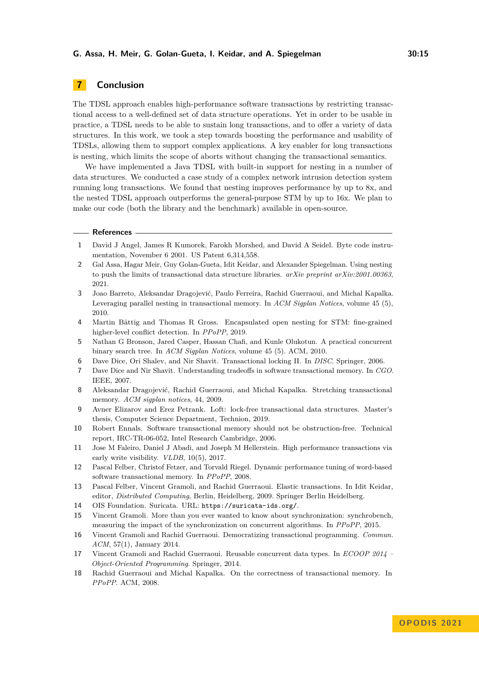# **7 Conclusion**

The TDSL approach enables high-performance software transactions by restricting transactional access to a well-defined set of data structure operations. Yet in order to be usable in practice, a TDSL needs to be able to sustain long transactions, and to offer a variety of data structures. In this work, we took a step towards boosting the performance and usability of TDSLs, allowing them to support complex applications. A key enabler for long transactions is nesting, which limits the scope of aborts without changing the transactional semantics.

We have implemented a Java TDSL with built-in support for nesting in a number of data structures. We conducted a case study of a complex network intrusion detection system running long transactions. We found that nesting improves performance by up to 8x, and the nested TDSL approach outperforms the general-purpose STM by up to 16x. We plan to make our code (both the library and the benchmark) available in open-source.

#### **References**

- <span id="page-14-5"></span>**1** David J Angel, James R Kumorek, Farokh Morshed, and David A Seidel. Byte code instrumentation, November 6 2001. US Patent 6,314,558.
- <span id="page-14-0"></span>**2** Gal Assa, Hagar Meir, Guy Golan-Gueta, Idit Keidar, and Alexander Spiegelman. Using nesting to push the limits of transactional data structure libraries. *arXiv preprint arXiv:2001.00363*, 2021.
- <span id="page-14-17"></span>**3** Joao Barreto, Aleksandar Dragojević, Paulo Ferreira, Rachid Guerraoui, and Michal Kapalka. Leveraging parallel nesting in transactional memory. In *ACM Sigplan Notices*, volume 45 (5), 2010.
- <span id="page-14-16"></span>**4** Martin Bättig and Thomas R Gross. Encapsulated open nesting for STM: fine-grained higher-level conflict detection. In *PPoPP*, 2019.
- <span id="page-14-2"></span>**5** Nathan G Bronson, Jared Casper, Hassan Chafi, and Kunle Olukotun. A practical concurrent binary search tree. In *ACM Sigplan Notices*, volume 45 (5). ACM, 2010.
- <span id="page-14-1"></span>**6** Dave Dice, Ori Shalev, and Nir Shavit. Transactional locking II. In *DISC*. Springer, 2006.
- <span id="page-14-12"></span>**7** Dave Dice and Nir Shavit. Understanding tradeoffs in software transactional memory. In *CGO*. IEEE, 2007.
- <span id="page-14-13"></span>**8** Aleksandar Dragojević, Rachid Guerraoui, and Michal Kapalka. Stretching transactional memory. *ACM sigplan notices*, 44, 2009.
- <span id="page-14-3"></span>**9** Avner Elizarov and Erez Petrank. Loft: lock-free transactional data structures. Master's thesis, Computer Science Department, Technion, 2019.
- <span id="page-14-11"></span>**10** Robert Ennals. Software transactional memory should not be obstruction-free. Technical report, IRC-TR-06-052, Intel Research Cambridge, 2006.
- <span id="page-14-15"></span>**11** Jose M Faleiro, Daniel J Abadi, and Joseph M Hellerstein. High performance transactions via early write visibility. *VLDB*, 10(5), 2017.
- <span id="page-14-14"></span>**12** Pascal Felber, Christof Fetzer, and Torvald Riegel. Dynamic performance tuning of word-based software transactional memory. In *PPoPP*, 2008.
- <span id="page-14-7"></span>**13** Pascal Felber, Vincent Gramoli, and Rachid Guerraoui. Elastic transactions. In Idit Keidar, editor, *Distributed Computing*, Berlin, Heidelberg, 2009. Springer Berlin Heidelberg.
- <span id="page-14-10"></span>**14** OIS Foundation. Suricata. URL: <https://suricata-ids.org/>.
- <span id="page-14-6"></span>**15** Vincent Gramoli. More than you ever wanted to know about synchronization: synchrobench, measuring the impact of the synchronization on concurrent algorithms. In *PPoPP*, 2015.
- <span id="page-14-8"></span>**16** Vincent Gramoli and Rachid Guerraoui. Democratizing transactional programming. *Commun. ACM*, 57(1), January 2014.
- <span id="page-14-9"></span>**17** Vincent Gramoli and Rachid Guerraoui. Reusable concurrent data types. In *ECOOP 2014 – Object-Oriented Programming*. Springer, 2014.
- <span id="page-14-4"></span>**18** Rachid Guerraoui and Michal Kapalka. On the correctness of transactional memory. In *PPoPP*. ACM, 2008.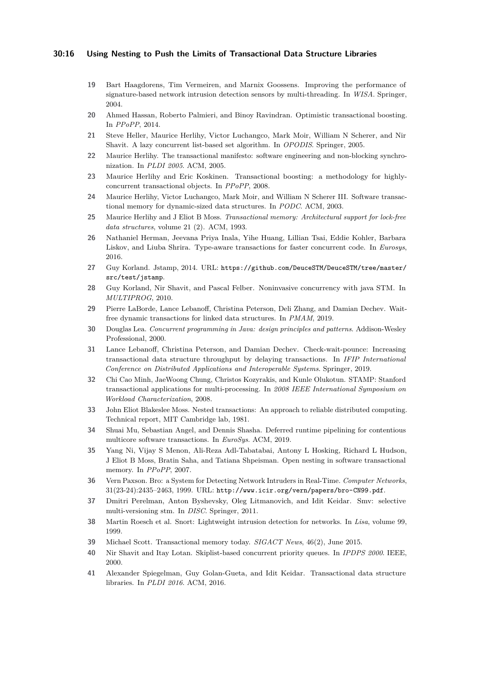### **30:16 Using Nesting to Push the Limits of Transactional Data Structure Libraries**

- <span id="page-15-16"></span>**19** Bart Haagdorens, Tim Vermeiren, and Marnix Goossens. Improving the performance of signature-based network intrusion detection sensors by multi-threading. In *WISA*. Springer, 2004.
- <span id="page-15-21"></span>**20** Ahmed Hassan, Roberto Palmieri, and Binoy Ravindran. Optimistic transactional boosting. In *PPoPP*, 2014.
- <span id="page-15-8"></span>**21** Steve Heller, Maurice Herlihy, Victor Luchangco, Mark Moir, William N Scherer, and Nir Shavit. A lazy concurrent list-based set algorithm. In *OPODIS*. Springer, 2005.
- <span id="page-15-1"></span>**22** Maurice Herlihy. The transactional manifesto: software engineering and non-blocking synchronization. In *PLDI 2005*. ACM, 2005.
- <span id="page-15-13"></span>**23** Maurice Herlihy and Eric Koskinen. Transactional boosting: a methodology for highlyconcurrent transactional objects. In *PPoPP*, 2008.
- <span id="page-15-3"></span>**24** Maurice Herlihy, Victor Luchangco, Mark Moir, and William N Scherer III. Software transactional memory for dynamic-sized data structures. In *PODC*. ACM, 2003.
- <span id="page-15-0"></span>**25** Maurice Herlihy and J Eliot B Moss. *Transactional memory: Architectural support for lock-free data structures*, volume 21 (2). ACM, 1993.
- <span id="page-15-12"></span>**26** Nathaniel Herman, Jeevana Priya Inala, Yihe Huang, Lillian Tsai, Eddie Kohler, Barbara Liskov, and Liuba Shrira. Type-aware transactions for faster concurrent code. In *Eurosys*, 2016.
- <span id="page-15-17"></span>**27** Guy Korland. Jstamp, 2014. URL: [https://github.com/DeuceSTM/DeuceSTM/tree/master/](https://github.com/DeuceSTM/DeuceSTM/tree/master/src/test/jstamp) [src/test/jstamp](https://github.com/DeuceSTM/DeuceSTM/tree/master/src/test/jstamp).
- <span id="page-15-5"></span>**28** Guy Korland, Nir Shavit, and Pascal Felber. Noninvasive concurrency with java STM. In *MULTIPROG*, 2010.
- <span id="page-15-10"></span>**29** Pierre LaBorde, Lance Lebanoff, Christina Peterson, Deli Zhang, and Damian Dechev. Waitfree dynamic transactions for linked data structures. In *PMAM*, 2019.
- <span id="page-15-7"></span>**30** Douglas Lea. *Concurrent programming in Java: design principles and patterns*. Addison-Wesley Professional, 2000.
- <span id="page-15-11"></span>**31** Lance Lebanoff, Christina Peterson, and Damian Dechev. Check-wait-pounce: Increasing transactional data structure throughput by delaying transactions. In *IFIP International Conference on Distributed Applications and Interoperable Systems*. Springer, 2019.
- <span id="page-15-18"></span>**32** Chi Cao Minh, JaeWoong Chung, Christos Kozyrakis, and Kunle Olukotun. STAMP: Stanford transactional applications for multi-processing. In *2008 IEEE International Symposium on Workload Characterization*, 2008.
- <span id="page-15-14"></span>**33** John Eliot Blakeslee Moss. Nested transactions: An approach to reliable distributed computing. Technical report, MIT Cambridge lab, 1981.
- <span id="page-15-22"></span>**34** Shuai Mu, Sebastian Angel, and Dennis Shasha. Deferred runtime pipelining for contentious multicore software transactions. In *EuroSys*. ACM, 2019.
- <span id="page-15-15"></span>**35** Yang Ni, Vijay S Menon, Ali-Reza Adl-Tabatabai, Antony L Hosking, Richard L Hudson, J Eliot B Moss, Bratin Saha, and Tatiana Shpeisman. Open nesting in software transactional memory. In *PPoPP*, 2007.
- <span id="page-15-20"></span>**36** Vern Paxson. Bro: a System for Detecting Network Intruders in Real-Time. *Computer Networks*, 31(23-24):2435–2463, 1999. URL: <http://www.icir.org/vern/papers/bro-CN99.pdf>.
- <span id="page-15-4"></span>**37** Dmitri Perelman, Anton Byshevsky, Oleg Litmanovich, and Idit Keidar. Smv: selective multi-versioning stm. In *DISC*. Springer, 2011.
- <span id="page-15-19"></span>**38** Martin Roesch et al. Snort: Lightweight intrusion detection for networks. In *Lisa*, volume 99, 1999.
- <span id="page-15-2"></span>**39** Michael Scott. Transactional memory today. *SIGACT News*, 46(2), June 2015.
- <span id="page-15-6"></span>**40** Nir Shavit and Itay Lotan. Skiplist-based concurrent priority queues. In *IPDPS 2000*. IEEE, 2000.
- <span id="page-15-9"></span>**41** Alexander Spiegelman, Guy Golan-Gueta, and Idit Keidar. Transactional data structure libraries. In *PLDI 2016*. ACM, 2016.